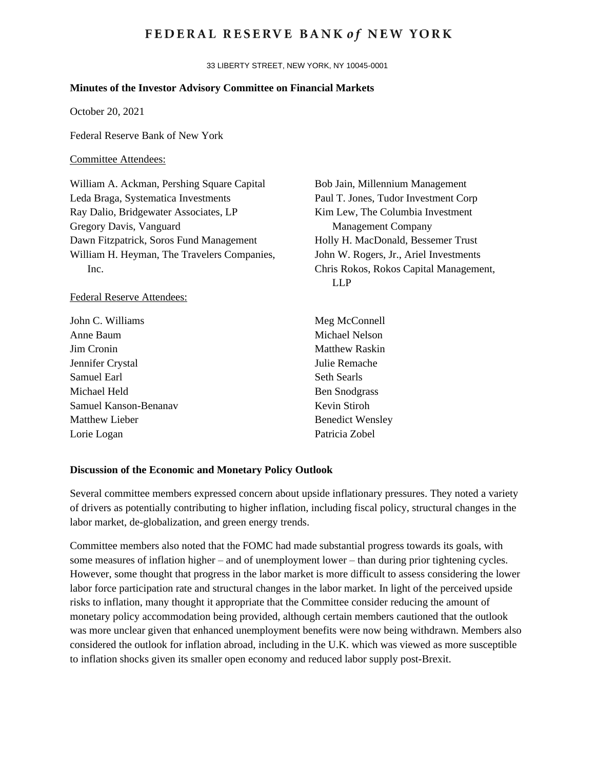# **FEDERAL RESERVE BANK of NEW YORK**

33 LIBERTY STREET, NEW YORK, NY 10045-0001

### **Minutes of the Investor Advisory Committee on Financial Markets**

October 20, 2021

Federal Reserve Bank of New York

## Committee Attendees:

William A. Ackman, Pershing Square Capital Leda Braga, Systematica Investments Ray Dalio, Bridgewater Associates, LP Gregory Davis, Vanguard Dawn Fitzpatrick, Soros Fund Management William H. Heyman, The Travelers Companies, Inc.

#### Federal Reserve Attendees:

| John C. Williams      | Meş   |
|-----------------------|-------|
| Anne Baum             | Mic   |
| Jim Cronin            | Mat   |
| Jennifer Crystal      | Julio |
| Samuel Earl           | Seth  |
| Michael Held          | Ben   |
| Samuel Kanson-Benanav | Key   |
| Matthew Lieber        | Ben   |
| Lorie Logan           | Patr  |
|                       |       |

Bob Jain, Millennium Management Paul T. Jones, Tudor Investment Corp Kim Lew, The Columbia Investment Management Company Holly H. MacDonald, Bessemer Trust John W. Rogers, Jr., Ariel Investments Chris Rokos, Rokos Capital Management, LLP

Meg McConnell hael Nelson thew Raskin e Remache n Searls Snodgrass in Stiroh edict Wensley ricia Zobel

## **Discussion of the Economic and Monetary Policy Outlook**

Several committee members expressed concern about upside inflationary pressures. They noted a variety of drivers as potentially contributing to higher inflation, including fiscal policy, structural changes in the labor market, de-globalization, and green energy trends.

Committee members also noted that the FOMC had made substantial progress towards its goals, with some measures of inflation higher – and of unemployment lower – than during prior tightening cycles. However, some thought that progress in the labor market is more difficult to assess considering the lower labor force participation rate and structural changes in the labor market. In light of the perceived upside risks to inflation, many thought it appropriate that the Committee consider reducing the amount of monetary policy accommodation being provided, although certain members cautioned that the outlook was more unclear given that enhanced unemployment benefits were now being withdrawn. Members also considered the outlook for inflation abroad, including in the U.K. which was viewed as more susceptible to inflation shocks given its smaller open economy and reduced labor supply post-Brexit.